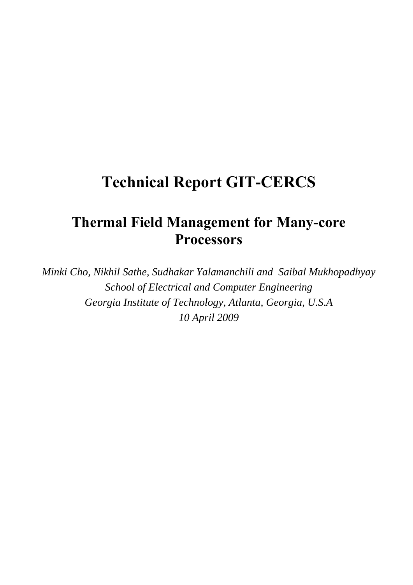# **Technical Report GIT-CERCS**

# **Thermal Field Management for Many-core Processors**

*Minki Cho, Nikhil Sathe, Sudhakar Yalamanchili and Saibal Mukhopadhyay School of Electrical and Computer Engineering Georgia Institute of Technology, Atlanta, Georgia, U.S.A 10 April 2009*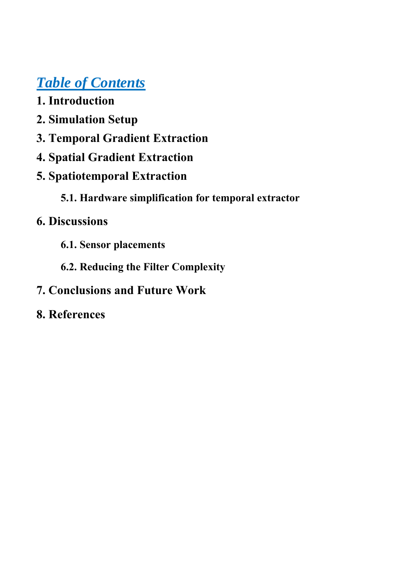# *Table of Contents*

- **1. Introduction**
- **2. Simulation Setup**
- **3. Temporal Gradient Extraction**
- **4. Spatial Gradient Extraction**
- **5. Spatiotemporal Extraction** 
	- **5.1. Hardware simplification for temporal extractor**

# **6. Discussions**

- **6.1. Sensor placements**
- **6.2. Reducing the Filter Complexity**
- **7. Conclusions and Future Work**
- **8. References**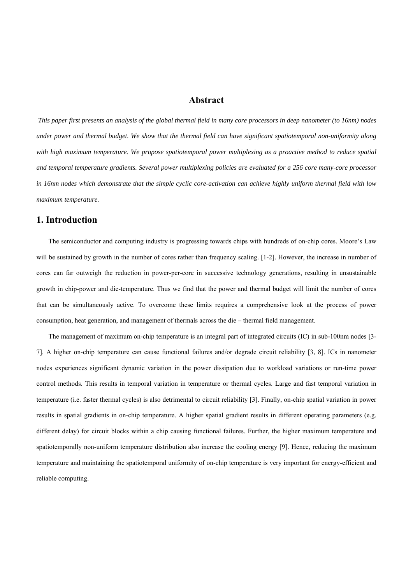### **Abstract**

*This paper first presents an analysis of the global thermal field in many core processors in deep nanometer (to 16nm) nodes under power and thermal budget. We show that the thermal field can have significant spatiotemporal non-uniformity along with high maximum temperature. We propose spatiotemporal power multiplexing as a proactive method to reduce spatial and temporal temperature gradients. Several power multiplexing policies are evaluated for a 256 core many-core processor in 16nm nodes which demonstrate that the simple cyclic core-activation can achieve highly uniform thermal field with low maximum temperature.* 

# **1. Introduction**

The semiconductor and computing industry is progressing towards chips with hundreds of on-chip cores. Moore's Law will be sustained by growth in the number of cores rather than frequency scaling. [1-2]. However, the increase in number of cores can far outweigh the reduction in power-per-core in successive technology generations, resulting in unsustainable growth in chip-power and die-temperature. Thus we find that the power and thermal budget will limit the number of cores that can be simultaneously active. To overcome these limits requires a comprehensive look at the process of power consumption, heat generation, and management of thermals across the die – thermal field management.

The management of maximum on-chip temperature is an integral part of integrated circuits (IC) in sub-100nm nodes [3- 7]. A higher on-chip temperature can cause functional failures and/or degrade circuit reliability [3, 8]. ICs in nanometer nodes experiences significant dynamic variation in the power dissipation due to workload variations or run-time power control methods. This results in temporal variation in temperature or thermal cycles. Large and fast temporal variation in temperature (i.e. faster thermal cycles) is also detrimental to circuit reliability [3]. Finally, on-chip spatial variation in power results in spatial gradients in on-chip temperature. A higher spatial gradient results in different operating parameters (e.g. different delay) for circuit blocks within a chip causing functional failures. Further, the higher maximum temperature and spatiotemporally non-uniform temperature distribution also increase the cooling energy [9]. Hence, reducing the maximum temperature and maintaining the spatiotemporal uniformity of on-chip temperature is very important for energy-efficient and reliable computing.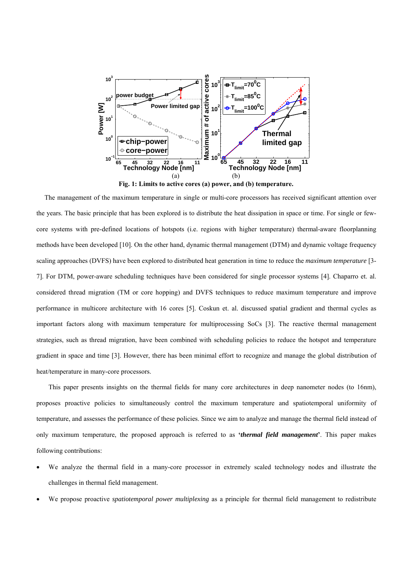

**Fig. 1: Limits to active cores (a) power, and (b) temperature.** 

The management of the maximum temperature in single or multi-core processors has received significant attention over the years. The basic principle that has been explored is to distribute the heat dissipation in space or time. For single or fewcore systems with pre-defined locations of hotspots (i.e. regions with higher temperature) thermal-aware floorplanning methods have been developed [10]. On the other hand, dynamic thermal management (DTM) and dynamic voltage frequency scaling approaches (DVFS) have been explored to distributed heat generation in time to reduce the *maximum temperature* [3- 7]. For DTM, power-aware scheduling techniques have been considered for single processor systems [4]. Chaparro et. al. considered thread migration (TM or core hopping) and DVFS techniques to reduce maximum temperature and improve performance in multicore architecture with 16 cores [5]. Coskun et. al. discussed spatial gradient and thermal cycles as important factors along with maximum temperature for multiprocessing SoCs [3]. The reactive thermal management strategies, such as thread migration, have been combined with scheduling policies to reduce the hotspot and temperature gradient in space and time [3]. However, there has been minimal effort to recognize and manage the global distribution of heat/temperature in many-core processors.

This paper presents insights on the thermal fields for many core architectures in deep nanometer nodes (to 16nm), proposes proactive policies to simultaneously control the maximum temperature and spatiotemporal uniformity of temperature, and assesses the performance of these policies. Since we aim to analyze and manage the thermal field instead of only maximum temperature, the proposed approach is referred to as **'***thermal field management***'**. This paper makes following contributions:

- We analyze the thermal field in a many-core processor in extremely scaled technology nodes and illustrate the challenges in thermal field management.
- We propose proactive *spatiotemporal power multiplexing* as a principle for thermal field management to redistribute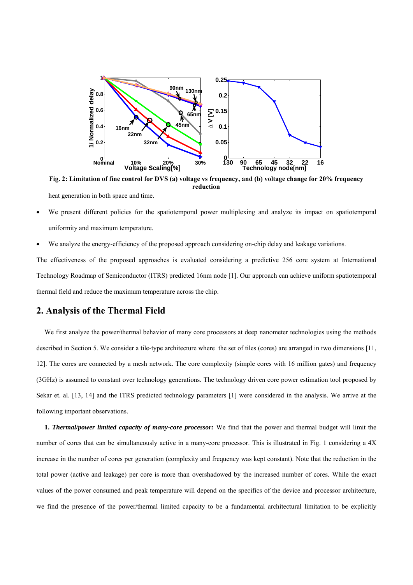

**Fig. 2: Limitation of fine control for DVS (a) voltage vs frequency, and (b) voltage change for 20% frequency reduction** 

heat generation in both space and time.

- We present different policies for the spatiotemporal power multiplexing and analyze its impact on spatiotemporal uniformity and maximum temperature.
- We analyze the energy-efficiency of the proposed approach considering on-chip delay and leakage variations.

The effectiveness of the proposed approaches is evaluated considering a predictive 256 core system at International Technology Roadmap of Semiconductor (ITRS) predicted 16nm node [1]. Our approach can achieve uniform spatiotemporal thermal field and reduce the maximum temperature across the chip.

# **2. Analysis of the Thermal Field**

We first analyze the power/thermal behavior of many core processors at deep nanometer technologies using the methods described in Section 5. We consider a tile-type architecture where the set of tiles (cores) are arranged in two dimensions [11, 12]. The cores are connected by a mesh network. The core complexity (simple cores with 16 million gates) and frequency (3GHz) is assumed to constant over technology generations. The technology driven core power estimation tool proposed by Sekar et. al. [13, 14] and the ITRS predicted technology parameters [1] were considered in the analysis. We arrive at the following important observations.

**1.** *Thermal/power limited capacity of many-core processor:* We find that the power and thermal budget will limit the number of cores that can be simultaneously active in a many-core processor. This is illustrated in Fig. 1 considering a 4X increase in the number of cores per generation (complexity and frequency was kept constant). Note that the reduction in the total power (active and leakage) per core is more than overshadowed by the increased number of cores. While the exact values of the power consumed and peak temperature will depend on the specifics of the device and processor architecture, we find the presence of the power/thermal limited capacity to be a fundamental architectural limitation to be explicitly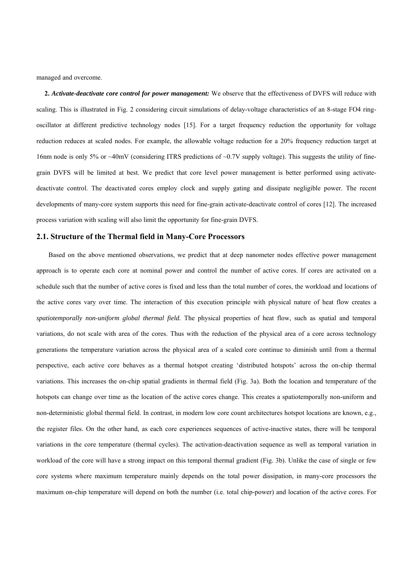managed and overcome.

**2.** *Activate-deactivate core control for power management:* We observe that the effectiveness of DVFS will reduce with scaling. This is illustrated in Fig. 2 considering circuit simulations of delay-voltage characteristics of an 8-stage FO4 ringoscillator at different predictive technology nodes [15]. For a target frequency reduction the opportunity for voltage reduction reduces at scaled nodes. For example, the allowable voltage reduction for a 20% frequency reduction target at 16nm node is only 5% or ~40mV (considering ITRS predictions of ~0.7V supply voltage). This suggests the utility of finegrain DVFS will be limited at best. We predict that core level power management is better performed using activatedeactivate control. The deactivated cores employ clock and supply gating and dissipate negligible power. The recent developments of many-core system supports this need for fine-grain activate-deactivate control of cores [12]. The increased process variation with scaling will also limit the opportunity for fine-grain DVFS.

#### **2.1. Structure of the Thermal field in Many-Core Processors**

Based on the above mentioned observations, we predict that at deep nanometer nodes effective power management approach is to operate each core at nominal power and control the number of active cores. If cores are activated on a schedule such that the number of active cores is fixed and less than the total number of cores, the workload and locations of the active cores vary over time. The interaction of this execution principle with physical nature of heat flow creates a *spatiotemporally non-uniform global thermal field.* The physical properties of heat flow, such as spatial and temporal variations, do not scale with area of the cores. Thus with the reduction of the physical area of a core across technology generations the temperature variation across the physical area of a scaled core continue to diminish until from a thermal perspective, each active core behaves as a thermal hotspot creating 'distributed hotspots' across the on-chip thermal variations. This increases the on-chip spatial gradients in thermal field (Fig. 3a). Both the location and temperature of the hotspots can change over time as the location of the active cores change. This creates a spatiotemporally non-uniform and non-deterministic global thermal field. In contrast, in modern low core count architectures hotspot locations are known, e.g., the register files. On the other hand, as each core experiences sequences of active-inactive states, there will be temporal variations in the core temperature (thermal cycles). The activation-deactivation sequence as well as temporal variation in workload of the core will have a strong impact on this temporal thermal gradient (Fig. 3b). Unlike the case of single or few core systems where maximum temperature mainly depends on the total power dissipation, in many-core processors the maximum on-chip temperature will depend on both the number (i.e. total chip-power) and location of the active cores. For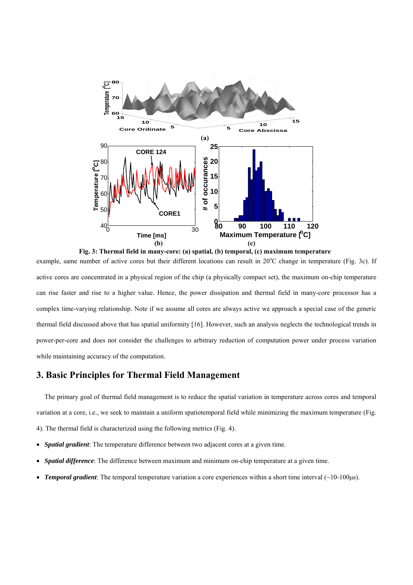

example, same number of active cores but their different locations can result in 20°C change in temperature (Fig. 3c). If active cores are concentrated in a physical region of the chip (a physically compact set), the maximum on-chip temperature can rise faster and rise to a higher value. Hence, the power dissipation and thermal field in many-core processor has a complex time-varying relationship. Note if we assume all cores are always active we approach a special case of the generic thermal field discussed above that has spatial uniformity [16]. However, such an analysis neglects the technological trends in power-per-core and does not consider the challenges to arbitrary reduction of computation power under process variation while maintaining accuracy of the computation.

# **3. Basic Principles for Thermal Field Management**

The primary goal of thermal field management is to reduce the spatial variation in temperature across cores and temporal variation at a core, i.e., we seek to maintain a uniform spatiotemporal field while minimizing the maximum temperature (Fig. 4). The thermal field is characterized using the following metrics (Fig. 4).

- *Spatial gradient*: The temperature difference between two adjacent cores at a given time.
- *Spatial difference*: The difference between maximum and minimum on-chip temperature at a given time.
- *Temporal gradient*: The temporal temperature variation a core experiences within a short time interval  $(\sim 10{\text -}100\mu s)$ .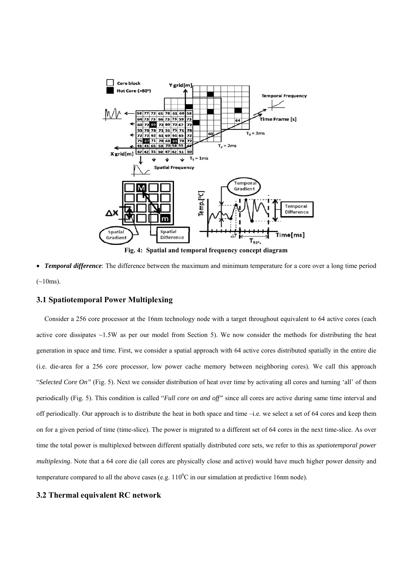![](_page_7_Figure_0.jpeg)

• *Temporal difference*: The difference between the maximum and minimum temperature for a core over a long time period  $(-10ms)$ .

#### **3.1 Spatiotemporal Power Multiplexing**

Consider a 256 core processor at the 16nm technology node with a target throughout equivalent to 64 active cores (each active core dissipates ~1.5W as per our model from Section 5). We now consider the methods for distributing the heat generation in space and time. First, we consider a spatial approach with 64 active cores distributed spatially in the entire die (i.e. die-area for a 256 core processor, low power cache memory between neighboring cores). We call this approach "*Selected Core On"* (Fig. 5). Next we consider distribution of heat over time by activating all cores and turning 'all' of them periodically (Fig. 5). This condition is called "*Full core on and off"* since all cores are active during same time interval and off periodically. Our approach is to distribute the heat in both space and time –i.e. we select a set of 64 cores and keep them on for a given period of time (time-slice). The power is migrated to a different set of 64 cores in the next time-slice. As over time the total power is multiplexed between different spatially distributed core sets, we refer to this as *spatiotemporal power multiplexing*. Note that a 64 core die (all cores are physically close and active) would have much higher power density and temperature compared to all the above cases (e.g.  $110^{\circ}$ C in our simulation at predictive 16nm node).

#### **3.2 Thermal equivalent RC network**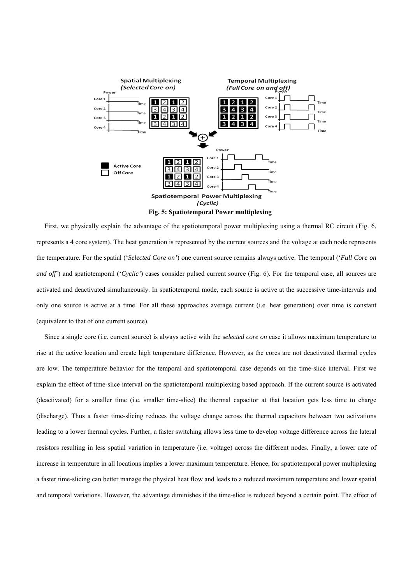![](_page_8_Figure_0.jpeg)

First, we physically explain the advantage of the spatiotemporal power multiplexing using a thermal RC circuit (Fig. 6, represents a 4 core system). The heat generation is represented by the current sources and the voltage at each node represents the temperature. For the spatial ('*Selected Core on'*) one current source remains always active. The temporal ('*Full Core on and off*) and spatiotemporal ('*Cyclic*') cases consider pulsed current source (Fig. 6). For the temporal case, all sources are activated and deactivated simultaneously. In spatiotemporal mode, each source is active at the successive time-intervals and only one source is active at a time. For all these approaches average current (i.e. heat generation) over time is constant (equivalent to that of one current source).

Since a single core (i.e. current source) is always active with the s*elected core on* case it allows maximum temperature to rise at the active location and create high temperature difference. However, as the cores are not deactivated thermal cycles are low. The temperature behavior for the temporal and spatiotemporal case depends on the time-slice interval. First we explain the effect of time-slice interval on the spatiotemporal multiplexing based approach. If the current source is activated (deactivated) for a smaller time (i.e. smaller time-slice) the thermal capacitor at that location gets less time to charge (discharge). Thus a faster time-slicing reduces the voltage change across the thermal capacitors between two activations leading to a lower thermal cycles. Further, a faster switching allows less time to develop voltage difference across the lateral resistors resulting in less spatial variation in temperature (i.e. voltage) across the different nodes. Finally, a lower rate of increase in temperature in all locations implies a lower maximum temperature. Hence, for spatiotemporal power multiplexing a faster time-slicing can better manage the physical heat flow and leads to a reduced maximum temperature and lower spatial and temporal variations. However, the advantage diminishes if the time-slice is reduced beyond a certain point. The effect of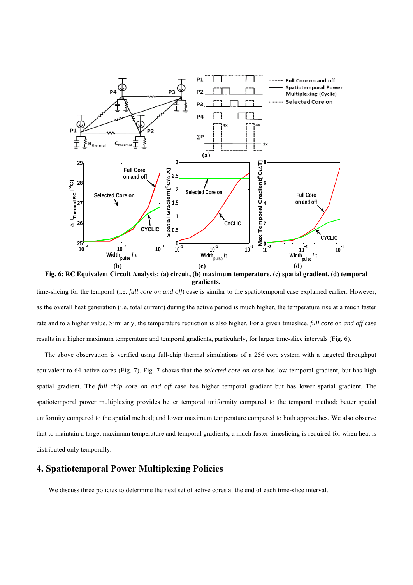![](_page_9_Figure_0.jpeg)

**Fig. 6: RC Equivalent Circuit Analysis: (a) circuit, (b) maximum temperature, (c) spatial gradient, (d) temporal gradients.** 

time-slicing for the temporal (i.e. *full core on and off*) case is similar to the spatiotemporal case explained earlier. However, as the overall heat generation (i.e. total current) during the active period is much higher, the temperature rise at a much faster rate and to a higher value. Similarly, the temperature reduction is also higher. For a given timeslice, *full core on and off* case results in a higher maximum temperature and temporal gradients, particularly, for larger time-slice intervals (Fig. 6).

The above observation is verified using full-chip thermal simulations of a 256 core system with a targeted throughput equivalent to 64 active cores (Fig. 7). Fig. 7 shows that the *selected core on* case has low temporal gradient, but has high spatial gradient. The *full chip core on and off* case has higher temporal gradient but has lower spatial gradient. The spatiotemporal power multiplexing provides better temporal uniformity compared to the temporal method; better spatial uniformity compared to the spatial method; and lower maximum temperature compared to both approaches. We also observe that to maintain a target maximum temperature and temporal gradients, a much faster timeslicing is required for when heat is distributed only temporally.

# **4. Spatiotemporal Power Multiplexing Policies**

We discuss three policies to determine the next set of active cores at the end of each time-slice interval.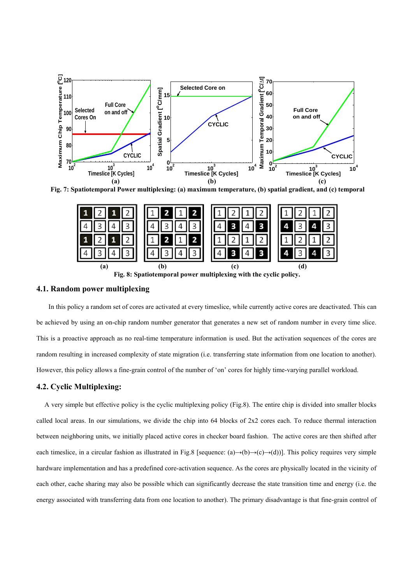![](_page_10_Figure_0.jpeg)

**Fig. 7: Spatiotemporal Power multiplexing: (a) maximum temperature, (b) spatial gradient, and (c) temporal** 

![](_page_10_Figure_2.jpeg)

#### **4.1. Random power multiplexing**

In this policy a random set of cores are activated at every timeslice, while currently active cores are deactivated. This can be achieved by using an on-chip random number generator that generates a new set of random number in every time slice. This is a proactive approach as no real-time temperature information is used. But the activation sequences of the cores are random resulting in increased complexity of state migration (i.e. transferring state information from one location to another). However, this policy allows a fine-grain control of the number of 'on' cores for highly time-varying parallel workload.

#### **4.2. Cyclic Multiplexing:**

A very simple but effective policy is the cyclic multiplexing policy (Fig.8). The entire chip is divided into smaller blocks called local areas. In our simulations, we divide the chip into 64 blocks of 2x2 cores each. To reduce thermal interaction between neighboring units, we initially placed active cores in checker board fashion. The active cores are then shifted after each timeslice, in a circular fashion as illustrated in Fig.8 [sequence:  $(a) \rightarrow (b) \rightarrow (c) \rightarrow (d)$ ]. This policy requires very simple hardware implementation and has a predefined core-activation sequence. As the cores are physically located in the vicinity of each other, cache sharing may also be possible which can significantly decrease the state transition time and energy (i.e. the energy associated with transferring data from one location to another). The primary disadvantage is that fine-grain control of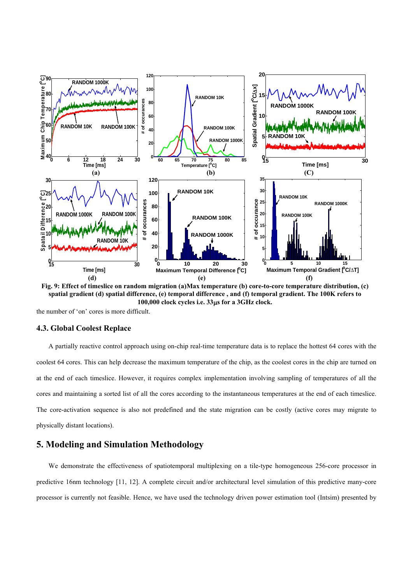![](_page_11_Figure_0.jpeg)

**Fig. 9: Effect of timeslice on random migration (a)Max temperature (b) core-to-core temperature distribution, (c) spatial gradient (d) spatial difference, (e) temporal difference , and (f) temporal gradient. The 100K refers to 100,000 clock cycles i.e. 33**μ**s for a 3GHz clock.** 

the number of 'on' cores is more difficult.

#### **4.3. Global Coolest Replace**

A partially reactive control approach using on-chip real-time temperature data is to replace the hottest 64 cores with the coolest 64 cores. This can help decrease the maximum temperature of the chip, as the coolest cores in the chip are turned on at the end of each timeslice. However, it requires complex implementation involving sampling of temperatures of all the cores and maintaining a sorted list of all the cores according to the instantaneous temperatures at the end of each timeslice. The core-activation sequence is also not predefined and the state migration can be costly (active cores may migrate to physically distant locations).

# **5. Modeling and Simulation Methodology**

We demonstrate the effectiveness of spatiotemporal multiplexing on a tile-type homogeneous 256-core processor in predictive 16nm technology [11, 12]. A complete circuit and/or architectural level simulation of this predictive many-core processor is currently not feasible. Hence, we have used the technology driven power estimation tool (Intsim) presented by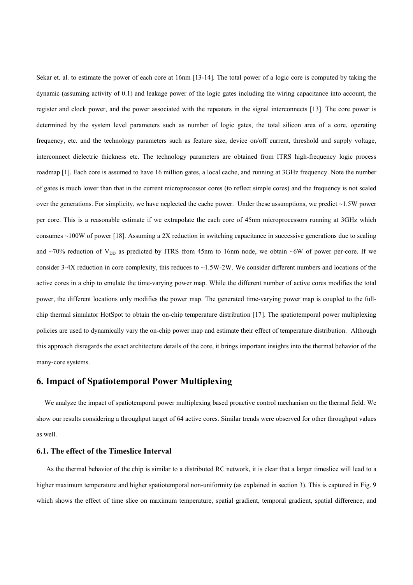Sekar et. al. to estimate the power of each core at 16nm [13-14]. The total power of a logic core is computed by taking the dynamic (assuming activity of 0.1) and leakage power of the logic gates including the wiring capacitance into account, the register and clock power, and the power associated with the repeaters in the signal interconnects [13]. The core power is determined by the system level parameters such as number of logic gates, the total silicon area of a core, operating frequency, etc. and the technology parameters such as feature size, device on/off current, threshold and supply voltage, interconnect dielectric thickness etc. The technology parameters are obtained from ITRS high-frequency logic process roadmap [1]. Each core is assumed to have 16 million gates, a local cache, and running at 3GHz frequency. Note the number of gates is much lower than that in the current microprocessor cores (to reflect simple cores) and the frequency is not scaled over the generations. For simplicity, we have neglected the cache power. Under these assumptions, we predict  $\sim$ 1.5W power per core. This is a reasonable estimate if we extrapolate the each core of 45nm microprocessors running at 3GHz which consumes  $\sim$ 100W of power [18]. Assuming a 2X reduction in switching capacitance in successive generations due to scaling and  $\sim$ 70% reduction of V<sub>DD</sub> as predicted by ITRS from 45nm to 16nm node, we obtain  $\sim$ 6W of power per-core. If we consider 3-4X reduction in core complexity, this reduces to  $\sim$ 1.5W-2W. We consider different numbers and locations of the active cores in a chip to emulate the time-varying power map. While the different number of active cores modifies the total power, the different locations only modifies the power map. The generated time-varying power map is coupled to the fullchip thermal simulator HotSpot to obtain the on-chip temperature distribution [17]. The spatiotemporal power multiplexing policies are used to dynamically vary the on-chip power map and estimate their effect of temperature distribution. Although this approach disregards the exact architecture details of the core, it brings important insights into the thermal behavior of the many-core systems.

## **6. Impact of Spatiotemporal Power Multiplexing**

We analyze the impact of spatiotemporal power multiplexing based proactive control mechanism on the thermal field. We show our results considering a throughput target of 64 active cores. Similar trends were observed for other throughput values as well.

#### **6.1. The effect of the Timeslice Interval**

 As the thermal behavior of the chip is similar to a distributed RC network, it is clear that a larger timeslice will lead to a higher maximum temperature and higher spatiotemporal non-uniformity (as explained in section 3). This is captured in Fig. 9 which shows the effect of time slice on maximum temperature, spatial gradient, temporal gradient, spatial difference, and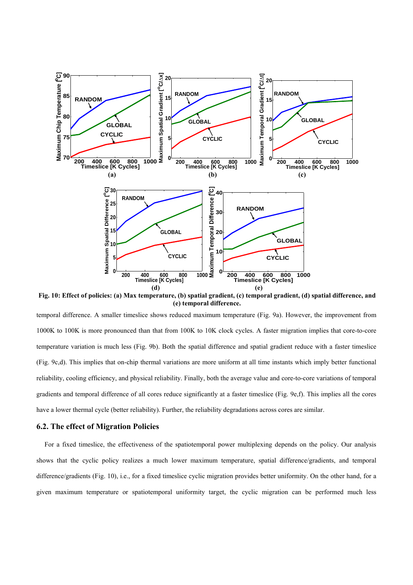![](_page_13_Figure_0.jpeg)

**Fig. 10: Effect of policies: (a) Max temperature, (b) spatial gradient, (c) temporal gradient, (d) spatial difference, and (e) temporal difference.** 

temporal difference. A smaller timeslice shows reduced maximum temperature (Fig. 9a). However, the improvement from 1000K to 100K is more pronounced than that from 100K to 10K clock cycles. A faster migration implies that core-to-core temperature variation is much less (Fig. 9b). Both the spatial difference and spatial gradient reduce with a faster timeslice (Fig. 9c,d). This implies that on-chip thermal variations are more uniform at all time instants which imply better functional reliability, cooling efficiency, and physical reliability. Finally, both the average value and core-to-core variations of temporal gradients and temporal difference of all cores reduce significantly at a faster timeslice (Fig. 9e,f). This implies all the cores have a lower thermal cycle (better reliability). Further, the reliability degradations across cores are similar.

#### **6.2. The effect of Migration Policies**

For a fixed timeslice, the effectiveness of the spatiotemporal power multiplexing depends on the policy. Our analysis shows that the cyclic policy realizes a much lower maximum temperature, spatial difference/gradients, and temporal difference/gradients (Fig. 10), i.e., for a fixed timeslice cyclic migration provides better uniformity. On the other hand, for a given maximum temperature or spatiotemporal uniformity target, the cyclic migration can be performed much less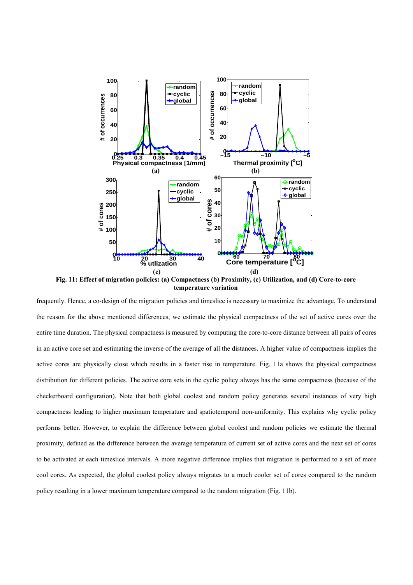![](_page_14_Figure_0.jpeg)

**Fig. 11: Effect of migration policies: (a) Compactness (b) Proximity, (c) Utilization, and (d) Core-to-core temperature variation** 

frequently. Hence, a co-design of the migration policies and timeslice is necessary to maximize the advantage. To understand the reason for the above mentioned differences, we estimate the physical compactness of the set of active cores over the entire time duration. The physical compactness is measured by computing the core-to-core distance between all pairs of cores in an active core set and estimating the inverse of the average of all the distances. A higher value of compactness implies the active cores are physically close which results in a faster rise in temperature. Fig. 11a shows the physical compactness distribution for different policies. The active core sets in the cyclic policy always has the same compactness (because of the checkerboard configuration). Note that both global coolest and random policy generates several instances of very high compactness leading to higher maximum temperature and spatiotemporal non-uniformity. This explains why cyclic policy performs better. However, to explain the difference between global coolest and random policies we estimate the thermal proximity, defined as the difference between the average temperature of current set of active cores and the next set of cores to be activated at each timeslice intervals. A more negative difference implies that migration is performed to a set of more cool cores. As expected, the global coolest policy always migrates to a much cooler set of cores compared to the random policy resulting in a lower maximum temperature compared to the random migration (Fig. 11b).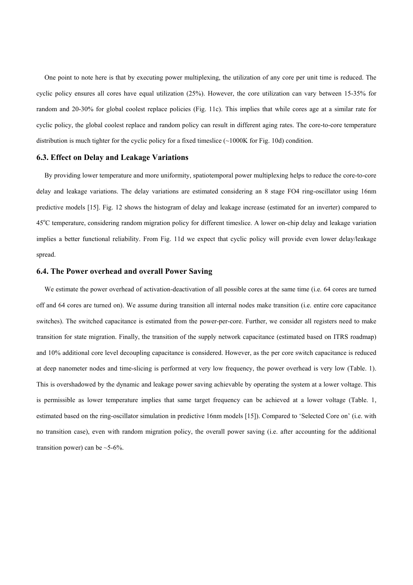One point to note here is that by executing power multiplexing, the utilization of any core per unit time is reduced. The cyclic policy ensures all cores have equal utilization (25%). However, the core utilization can vary between 15-35% for random and 20-30% for global coolest replace policies (Fig. 11c). This implies that while cores age at a similar rate for cyclic policy, the global coolest replace and random policy can result in different aging rates. The core-to-core temperature distribution is much tighter for the cyclic policy for a fixed timeslice (~1000K for Fig. 10d) condition.

#### **6.3. Effect on Delay and Leakage Variations**

By providing lower temperature and more uniformity, spatiotemporal power multiplexing helps to reduce the core-to-core delay and leakage variations. The delay variations are estimated considering an 8 stage FO4 ring-oscillator using 16nm predictive models [15]. Fig. 12 shows the histogram of delay and leakage increase (estimated for an inverter) compared to 45°C temperature, considering random migration policy for different timeslice. A lower on-chip delay and leakage variation implies a better functional reliability. From Fig. 11d we expect that cyclic policy will provide even lower delay/leakage spread.

#### **6.4. The Power overhead and overall Power Saving**

We estimate the power overhead of activation-deactivation of all possible cores at the same time (i.e. 64 cores are turned off and 64 cores are turned on). We assume during transition all internal nodes make transition (i.e. entire core capacitance switches). The switched capacitance is estimated from the power-per-core. Further, we consider all registers need to make transition for state migration. Finally, the transition of the supply network capacitance (estimated based on ITRS roadmap) and 10% additional core level decoupling capacitance is considered. However, as the per core switch capacitance is reduced at deep nanometer nodes and time-slicing is performed at very low frequency, the power overhead is very low (Table. 1). This is overshadowed by the dynamic and leakage power saving achievable by operating the system at a lower voltage. This is permissible as lower temperature implies that same target frequency can be achieved at a lower voltage (Table. 1, estimated based on the ring-oscillator simulation in predictive 16nm models [15]). Compared to 'Selected Core on' (i.e. with no transition case), even with random migration policy, the overall power saving (i.e. after accounting for the additional transition power) can be  $\sim$  5-6%.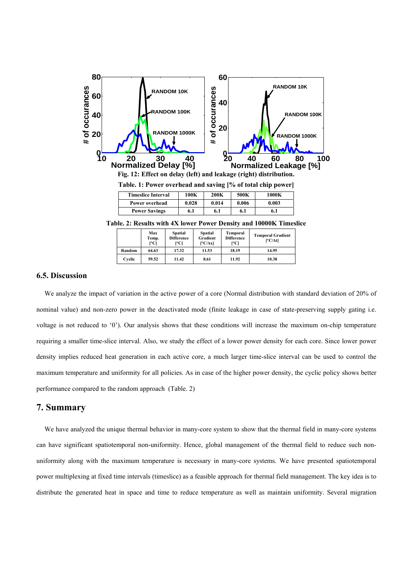![](_page_16_Figure_0.jpeg)

**Table. 2: Results with 4X lower Power Density and 10000K Timeslice** 

|        | Max<br>Temp.<br>l∘Cl | <b>Spatial</b><br><b>Difference</b><br> °C | <b>Spatial</b><br>Gradient<br>$[°C/\Delta x]$ | <b>Temporal</b><br><b>Difference</b><br>I°Cl | <b>Temporal Gradient</b><br>$[°C/\Delta t]$ |
|--------|----------------------|--------------------------------------------|-----------------------------------------------|----------------------------------------------|---------------------------------------------|
| Random | 64.63                | 17.32                                      | 11.53                                         | 18.19                                        | 14.95                                       |
| Cyclic | 59.52                | 11.42                                      | 8.61                                          | 11.92                                        | 10.38                                       |

#### **6.5. Discussion**

We analyze the impact of variation in the active power of a core (Normal distribution with standard deviation of 20% of nominal value) and non-zero power in the deactivated mode (finite leakage in case of state-preserving supply gating i.e. voltage is not reduced to '0'). Our analysis shows that these conditions will increase the maximum on-chip temperature requiring a smaller time-slice interval. Also, we study the effect of a lower power density for each core. Since lower power density implies reduced heat generation in each active core, a much larger time-slice interval can be used to control the maximum temperature and uniformity for all policies. As in case of the higher power density, the cyclic policy shows better performance compared to the random approach (Table. 2)

## **7. Summary**

We have analyzed the unique thermal behavior in many-core system to show that the thermal field in many-core systems can have significant spatiotemporal non-uniformity. Hence, global management of the thermal field to reduce such nonuniformity along with the maximum temperature is necessary in many-core systems. We have presented spatiotemporal power multiplexing at fixed time intervals (timeslice) as a feasible approach for thermal field management. The key idea is to distribute the generated heat in space and time to reduce temperature as well as maintain uniformity. Several migration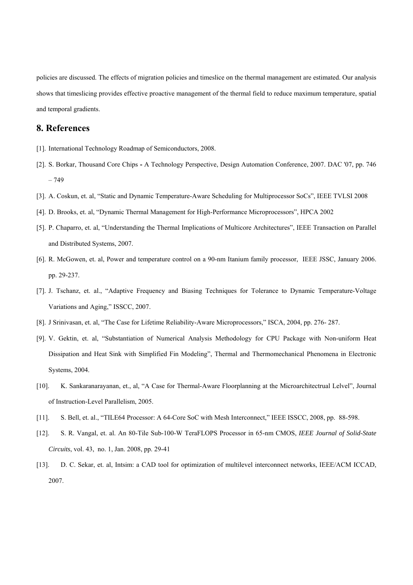policies are discussed. The effects of migration policies and timeslice on the thermal management are estimated. Our analysis shows that timeslicing provides effective proactive management of the thermal field to reduce maximum temperature, spatial and temporal gradients.

# **8. References**

- [1]. International Technology Roadmap of Semiconductors, 2008.
- [2]. S. Borkar, Thousand Core Chips **-** A Technology Perspective, Design Automation Conference, 2007. DAC '07, pp. 746 – 749
- [3]. A. Coskun, et. al, "Static and Dynamic Temperature-Aware Scheduling for Multiprocessor SoCs", IEEE TVLSI 2008
- [4]. D. Brooks, et. al, "Dynamic Thermal Management for High-Performance Microprocessors", HPCA 2002
- [5]. P. Chaparro, et. al, "Understanding the Thermal Implications of Multicore Architectures", IEEE Transaction on Parallel and Distributed Systems, 2007.
- [6]. R. McGowen, et. al, Power and temperature control on a 90-nm Itanium family processor, IEEE JSSC, January 2006. pp. 29-237.
- [7]. J. Tschanz, et. al., "Adaptive Frequency and Biasing Techniques for Tolerance to Dynamic Temperature-Voltage Variations and Aging," ISSCC, 2007.
- [8]. J Srinivasan, et. al, "The Case for Lifetime Reliability-Aware Microprocessors," ISCA, 2004, pp. 276- 287.
- [9]. V. Gektin, et. al, "Substantiation of Numerical Analysis Methodology for CPU Package with Non-uniform Heat Dissipation and Heat Sink with Simplified Fin Modeling", Thermal and Thermomechanical Phenomena in Electronic Systems, 2004.
- [10]. K. Sankaranarayanan, et., al, "A Case for Thermal-Aware Floorplanning at the Microarchitectrual Lelvel", Journal of Instruction-Level Parallelism, 2005.
- [11]. S. Bell, et. al., "TILE64 Processor: A 64-Core SoC with Mesh Interconnect," IEEE ISSCC, 2008, pp. 88-598.
- [12]. S. R. Vangal, et. al. An 80-Tile Sub-100-W TeraFLOPS Processor in 65-nm CMOS, *IEEE Journal of Solid-State Circuits*, vol. 43, no. 1, Jan. 2008, pp. 29-41
- [13]. D. C. Sekar, et. al, Intsim: a CAD tool for optimization of multilevel interconnect networks, IEEE/ACM ICCAD, 2007.